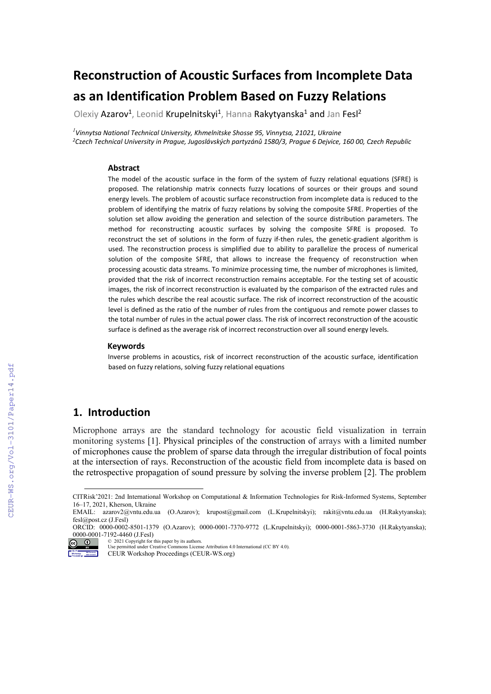# **Reconstruction of Acoustic Surfaces from Incomplete Data as an Identification Problem Based on Fuzzy Relations**

Olexiy Azarov<sup>1</sup>, Leonid Krupelnitskyi<sup>1</sup>, Hanna Rakytyanska<sup>1</sup> and Jan Fesl<sup>2</sup>

*1 Vinnytsa National Technical University, Khmelnitske Shosse 95, Vinnytsa, 21021, Ukraine 2C*z*ech Technical University in Prague, [Jugoslávských partyz](https://en.mapy.cz/zakladni?x=14.3946033&y=50.1032952&z=17&source=addr&id=8977890)ánů 1580/3, Prague 6 Dejvice, 160 00, Czech Republic*

#### **Abstract**

The model of the acoustic surface in the form of the system of fuzzy relational equations (SFRE) is proposed. The relationship matrix connects fuzzy locations of sources or their groups and sound energy levels. The problem of acoustic surface reconstruction from incomplete data is reduced to the problem of identifying the matrix of fuzzy relations by solving the composite SFRE. Properties of the solution set allow avoiding the generation and selection of the source distribution parameters. The method for reconstructing acoustic surfaces by solving the composite SFRE is proposed. To reconstruct the set of solutions in the form of fuzzy if-then rules, the genetic-gradient algorithm is used. The reconstruction process is simplified due to ability to parallelize the process of numerical solution of the composite SFRE, that allows to increase the frequency of reconstruction when processing acoustic data streams. To minimize processing time, the number of microphones is limited, provided that the risk of incorrect reconstruction remains acceptable. For the testing set of acoustic images, the risk of incorrect reconstruction is evaluated by the comparison of the extracted rules and the rules which describe the real acoustic surface. The risk of incorrect reconstruction of the acoustic level is defined as the ratio of the number of rules from the contiguous and remote power classes to the total number of rules in the actual power class. The risk of incorrect reconstruction of the acoustic surface is defined as the average risk of incorrect reconstruction over all sound energy levels.

#### **Keywords [1](#page-0-0)**

Inverse problems in acoustics, risk of incorrect reconstruction of the acoustic surface, identification based on fuzzy relations, solving fuzzy relational equations

### **1. Introduction**

Microphone arrays are the standard technology for acoustic field visualization in terrain monitoring systems [1]. Physical principles of the construction of arrays with a limited number of microphones cause the problem of sparse data through the irregular distribution of focal points at the intersection of rays. Reconstruction of the acoustic field from incomplete data is based on the retrospective propagation of sound pressure by solving the inverse problem [2]. The problem

ORCID: 0000-0002-8501-1379 (O.Azarov); 0000-0001-7370-9772 (L.Krupelnitskyi); 0000-0001-5863-3730 (H.Rakytyanska); 0000-0001-7192-4460 (J.Fesl)



<sup>©</sup> 2021 Copyright for this paper by its authors. Use permitted under Creative Commons License Attribution 4.0 International (CC BY 4.0).

<span id="page-0-0"></span>CITRisk'2021: 2nd International Workshop on Computational & Information Technologies for Risk-Informed Systems, September 16–17, 2021, Kherson, Ukraine

EMAIL: [azarov2@vntu.edu.ua](mailto:azarov2@vntu.edu.ua) (O.Azarov); [krupost@gmail.com](mailto:krupost@gmail.com) (L.Krupelnitskyi); [rakit@vntu.edu.ua](mailto:rakit@vntu.edu.ua) (H.Rakytyanska); fesl@post.cz (J.Fesl)

CEUR Workshop Proceedings (CEUR-WS.org)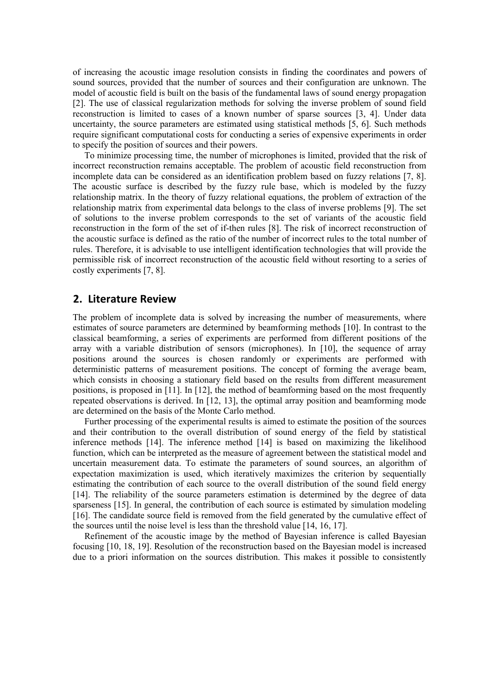of increasing the acoustic image resolution consists in finding the coordinates and powers of sound sources, provided that the number of sources and their configuration are unknown. The model of acoustic field is built on the basis of the fundamental laws of sound energy propagation [2]. The use of classical regularization methods for solving the inverse problem of sound field reconstruction is limited to cases of a known number of sparse sources [3, 4]. Under data uncertainty, the source parameters are estimated using statistical methods [5, 6]. Such methods require significant computational costs for conducting a series of expensive experiments in order to specify the position of sources and their powers.

To minimize processing time, the number of microphones is limited, provided that the risk of incorrect reconstruction remains acceptable. The problem of acoustic field reconstruction from incomplete data can be considered as an identification problem based on fuzzy relations [7, 8]. The acoustic surface is described by the fuzzy rule base, which is modeled by the fuzzy relationship matrix. In the theory of fuzzy relational equations, the problem of extraction of the relationship matrix from experimental data belongs to the class of inverse problems [9]. The set of solutions to the inverse problem corresponds to the set of variants of the acoustic field reconstruction in the form of the set of if-then rules [8]. The risk of incorrect reconstruction of the acoustic surface is defined as the ratio of the number of incorrect rules to the total number of rules. Therefore, it is advisable to use intelligent identification technologies that will provide the permissible risk of incorrect reconstruction of the acoustic field without resorting to a series of costly experiments [7, 8].

#### **2. Literature Review**

The problem of incomplete data is solved by increasing the number of measurements, where estimates of source parameters are determined by beamforming methods [10]. In contrast to the classical beamforming, a series of experiments are performed from different positions of the array with a variable distribution of sensors (microphones). In [10], the sequence of array positions around the sources is chosen randomly or experiments are performed with deterministic patterns of measurement positions. The concept of forming the average beam, which consists in choosing a stationary field based on the results from different measurement positions, is proposed in [11]. In [12], the method of beamforming based on the most frequently repeated observations is derived. In [12, 13], the optimal array position and beamforming mode are determined on the basis of the Monte Carlo method.

Further processing of the experimental results is aimed to estimate the position of the sources and their contribution to the overall distribution of sound energy of the field by statistical inference methods [14]. The inference method [14] is based on maximizing the likelihood function, which can be interpreted as the measure of agreement between the statistical model and uncertain measurement data. To estimate the parameters of sound sources, an algorithm of expectation maximization is used, which iteratively maximizes the criterion by sequentially estimating the contribution of each source to the overall distribution of the sound field energy [14]. The reliability of the source parameters estimation is determined by the degree of data sparseness [15]. In general, the contribution of each source is estimated by simulation modeling [16]. The candidate source field is removed from the field generated by the cumulative effect of the sources until the noise level is less than the threshold value [14, 16, 17].

Refinement of the acoustic image by the method of Bayesian inference is called Bayesian focusing [10, 18, 19]. Resolution of the reconstruction based on the Bayesian model is increased due to a priori information on the sources distribution. This makes it possible to consistently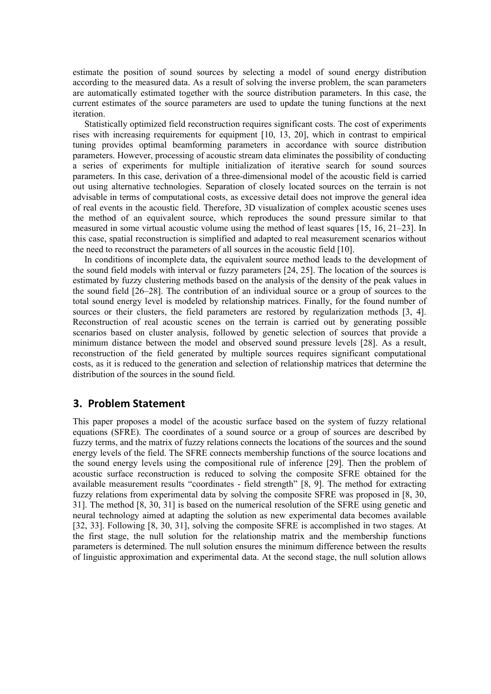estimate the position of sound sources by selecting a model of sound energy distribution according to the measured data. As a result of solving the inverse problem, the scan parameters are automatically estimated together with the source distribution parameters. In this case, the current estimates of the source parameters are used to update the tuning functions at the next iteration.

Statistically optimized field reconstruction requires significant costs. The cost of experiments rises with increasing requirements for equipment [10, 13, 20], which in contrast to empirical tuning provides optimal beamforming parameters in accordance with source distribution parameters. However, processing of acoustic stream data eliminates the possibility of conducting a series of experiments for multiple initialization of iterative search for sound sources parameters. In this case, derivation of a three-dimensional model of the acoustic field is carried out using alternative technologies. Separation of closely located sources on the terrain is not advisable in terms of computational costs, as excessive detail does not improve the general idea of real events in the acoustic field. Therefore, 3D visualization of complex acoustic scenes uses the method of an equivalent source, which reproduces the sound pressure similar to that measured in some virtual acoustic volume using the method of least squares [15, 16, 21–23]. In this case, spatial reconstruction is simplified and adapted to real measurement scenarios without the need to reconstruct the parameters of all sources in the acoustic field [10].

In conditions of incomplete data, the equivalent source method leads to the development of the sound field models with interval or fuzzy parameters [24, 25]. The location of the sources is estimated by fuzzy clustering methods based on the analysis of the density of the peak values in the sound field [26–28]. The contribution of an individual source or a group of sources to the total sound energy level is modeled by relationship matrices. Finally, for the found number of sources or their clusters, the field parameters are restored by regularization methods [3, 4]. Reconstruction of real acoustic scenes on the terrain is carried out by generating possible scenarios based on cluster analysis, followed by genetic selection of sources that provide a minimum distance between the model and observed sound pressure levels [28]. As a result, reconstruction of the field generated by multiple sources requires significant computational costs, as it is reduced to the generation and selection of relationship matrices that determine the distribution of the sources in the sound field.

### **3. Problem Statement**

This paper proposes a model of the acoustic surface based on the system of fuzzy relational equations (SFRE). The coordinates of a sound source or a group of sources are described by fuzzy terms, and the matrix of fuzzy relations connects the locations of the sources and the sound energy levels of the field. The SFRE connects membership functions of the source locations and the sound energy levels using the compositional rule of inference [29]. Then the problem of acoustic surface reconstruction is reduced to solving the composite SFRE obtained for the available measurement results "coordinates - field strength" [8, 9]. The method for extracting fuzzy relations from experimental data by solving the composite SFRE was proposed in [8, 30, 31]. The method [8, 30, 31] is based on the numerical resolution of the SFRE using genetic and neural technology aimed at adapting the solution as new experimental data becomes available [32, 33]. Following [8, 30, 31], solving the composite SFRE is accomplished in two stages. At the first stage, the null solution for the relationship matrix and the membership functions parameters is determined. The null solution ensures the minimum difference between the results of linguistic approximation and experimental data. At the second stage, the null solution allows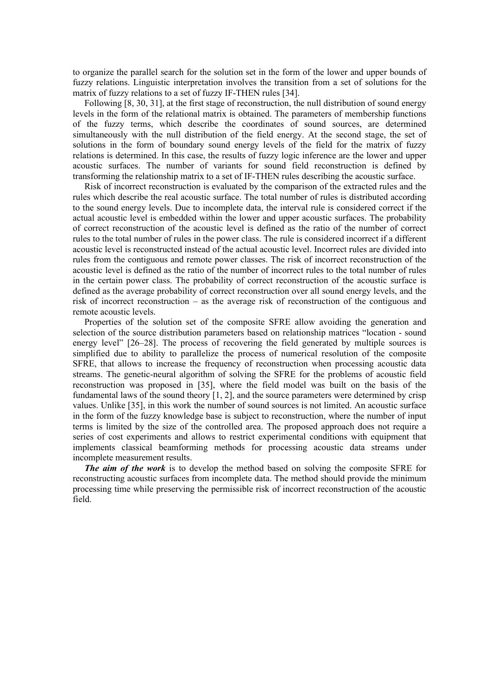to organize the parallel search for the solution set in the form of the lower and upper bounds of fuzzy relations. Linguistic interpretation involves the transition from a set of solutions for the matrix of fuzzy relations to a set of fuzzy IF-THEN rules [34].

Following [8, 30, 31], at the first stage of reconstruction, the null distribution of sound energy levels in the form of the relational matrix is obtained. The parameters of membership functions of the fuzzy terms, which describe the coordinates of sound sources, are determined simultaneously with the null distribution of the field energy. At the second stage, the set of solutions in the form of boundary sound energy levels of the field for the matrix of fuzzy relations is determined. In this case, the results of fuzzy logic inference are the lower and upper acoustic surfaces. The number of variants for sound field reconstruction is defined by transforming the relationship matrix to a set of IF-THEN rules describing the acoustic surface.

Risk of incorrect reconstruction is evaluated by the comparison of the extracted rules and the rules which describe the real acoustic surface. The total number of rules is distributed according to the sound energy levels. Due to incomplete data, the interval rule is considered correct if the actual acoustic level is embedded within the lower and upper acoustic surfaces. The probability of correct reconstruction of the acoustic level is defined as the ratio of the number of correct rules to the total number of rules in the power class. The rule is considered incorrect if a different acoustic level is reconstructed instead of the actual acoustic level. Incorrect rules are divided into rules from the contiguous and remote power classes. The risk of incorrect reconstruction of the acoustic level is defined as the ratio of the number of incorrect rules to the total number of rules in the certain power class. The probability of correct reconstruction of the acoustic surface is defined as the average probability of correct reconstruction over all sound energy levels, and the risk of incorrect reconstruction – as the average risk of reconstruction of the contiguous and remote acoustic levels.

Properties of the solution set of the composite SFRE allow avoiding the generation and selection of the source distribution parameters based on relationship matrices "location - sound energy level" [26–28]. The process of recovering the field generated by multiple sources is simplified due to ability to parallelize the process of numerical resolution of the composite SFRE, that allows to increase the frequency of reconstruction when processing acoustic data streams. The genetic-neural algorithm of solving the SFRE for the problems of acoustic field reconstruction was proposed in [35], where the field model was built on the basis of the fundamental laws of the sound theory [1, 2], and the source parameters were determined by crisp values. Unlike [35], in this work the number of sound sources is not limited. An acoustic surface in the form of the fuzzy knowledge base is subject to reconstruction, where the number of input terms is limited by the size of the controlled area. The proposed approach does not require a series of cost experiments and allows to restrict experimental conditions with equipment that implements classical beamforming methods for processing acoustic data streams under incomplete measurement results.

*The aim of the work* is to develop the method based on solving the composite SFRE for reconstructing acoustic surfaces from incomplete data. The method should provide the minimum processing time while preserving the permissible risk of incorrect reconstruction of the acoustic field.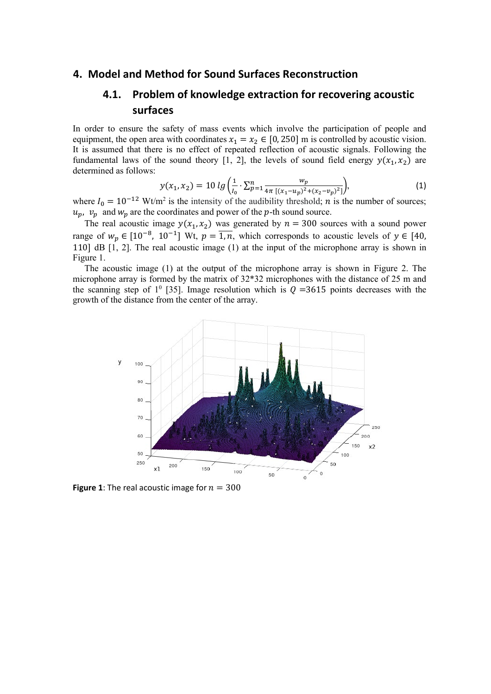### **4. Model and Method for Sound Surfaces Reconstruction**

### **4.1. Problem of knowledge extraction for recovering acoustic surfaces**

In order to ensure the safety of mass events which involve the participation of people and equipment, the open area with coordinates  $x_1 = x_2 \in [0, 250]$  m is controlled by acoustic vision. It is assumed that there is no effect of repeated reflection of acoustic signals. Following the fundamental laws of the sound theory [1, 2], the levels of sound field energy  $y(x_1, x_2)$  are determined as follows:

$$
y(x_1, x_2) = 10 \lg \left( \frac{1}{l_0} \cdot \sum_{p=1}^n \frac{w_p}{4\pi \left[ (x_1 - u_p)^2 + (x_2 - v_p)^2 \right]} \right),\tag{1}
$$

where  $I_0 = 10^{-12}$  Wt/m<sup>2</sup> is the intensity of the audibility threshold; *n* is the number of sources;  $u_p$ ,  $v_p$  and  $w_p$  are the coordinates and power of the p-th sound source.

The real acoustic image  $y(x_1, x_2)$  was generated by  $n = 300$  sources with a sound power range of  $w_p \in [10^{-8}, 10^{-1}]$  Wt,  $p = \overline{1, n}$ , which corresponds to acoustic levels of  $y \in [40, \frac{1}{2}]$ 110] dB  $[1, 2]$ . The real acoustic image  $(1)$  at the input of the microphone array is shown in Figure 1.

The acoustic image (1) at the output of the microphone array is shown in Figure 2. The microphone array is formed by the matrix of 32\*32 microphones with the distance of 25 m and the scanning step of  $1^0$  [35]. Image resolution which is  $Q = 3615$  points decreases with the growth of the distance from the center of the array.



**Figure 1**: The real acoustic image for  $n = 300$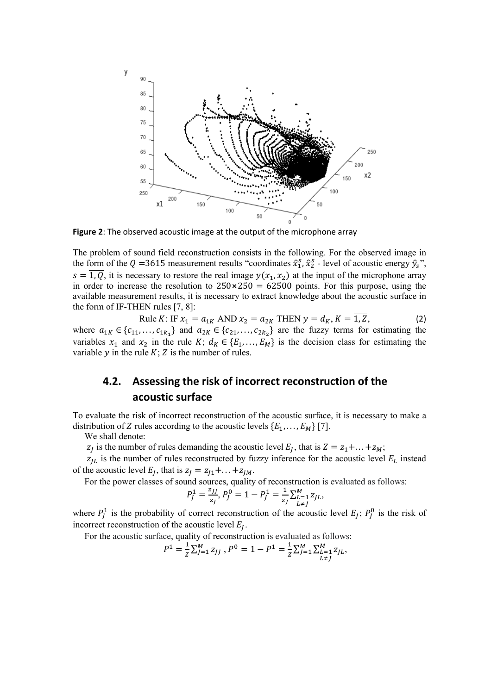

**Figure 2**: The observed acoustic image at the output of the microphone array

The problem of sound field reconstruction consists in the following. For the observed image in the form of the Q =3615 measurement results "coordinates  $\hat{x}_1^s$ ,  $\hat{x}_2^s$  - level of acoustic energy  $\hat{y}_s$ ",  $s = \overline{1, Q}$ , it is necessary to restore the real image  $y(x_1, x_2)$  at the input of the microphone array in order to increase the resolution to  $250 \times 250 = 62500$  points. For this purpose, using the available measurement results, it is necessary to extract knowledge about the acoustic surface in the form of IF-THEN rules [7, 8]:

Rule *K*: IF  $x_1 = a_{1K}$  AND  $x_2 = a_{2K}$  THEN  $y = d_K$ ,  $K = \overline{1, Z}$ , (2) where  $a_{1K} \in \{c_{11}, \ldots, c_{1k_1}\}\$  and  $a_{2K} \in \{c_{21}, \ldots, c_{2k_2}\}\$  are the fuzzy terms for estimating the variables  $x_1$  and  $x_2$  in the rule  $K$ ;  $d_K \in \{E_1, \ldots, E_M\}$  is the decision class for estimating the variable  $y$  in the rule  $K$ ;  $Z$  is the number of rules.

## **4.2. Assessing the risk of incorrect reconstruction of the acoustic surface**

To evaluate the risk of incorrect reconstruction of the acoustic surface, it is necessary to make a distribution of Z rules according to the acoustic levels  $\{E_1, \ldots, E_M\}$  [7].

We shall denote:

 $z_i$  is the number of rules demanding the acoustic level  $E_i$ , that is  $Z = z_1 + ... + z_M$ ;

 $z_{IL}$  is the number of rules reconstructed by fuzzy inference for the acoustic level  $E_L$  instead of the acoustic level  $E_I$ , that is  $z_I = z_{I1} + ... + z_{IM}$ .

For the power classes of sound sources, quality of reconstruction is evaluated as follows:

$$
P_J^1 = \frac{z_{JJ}}{z_J}, P_J^0 = 1 - P_J^1 = \frac{1}{z_J} \sum_{\substack{L=1 \ L \neq J}}^M z_{JL},
$$

where  $P_J^1$  is the probability of correct reconstruction of the acoustic level  $E_J$ ;  $P_J^0$  is the risk of incorrect reconstruction of the acoustic level  $E_I$ .

For the acoustic surface, quality of reconstruction is evaluated as follows:

$$
P^1 = \frac{1}{Z} \sum_{J=1}^{M} z_{JJ}, P^0 = 1 - P^1 = \frac{1}{Z} \sum_{J=1}^{M} \sum_{\substack{L=1 \ L \neq J}}^{M} z_{JL},
$$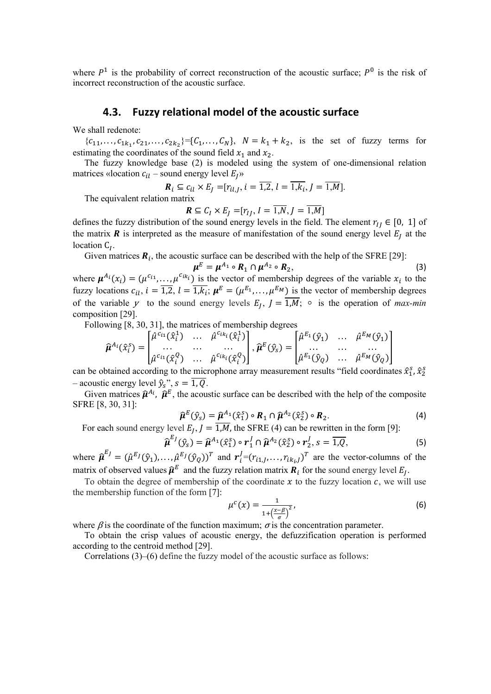where  $P<sup>1</sup>$  is the probability of correct reconstruction of the acoustic surface;  $P<sup>0</sup>$  is the risk of incorrect reconstruction of the acoustic surface.

### **4.3. Fuzzy relational model of the acoustic surface**

We shall redenote:

 ${c_{11},..., c_{1k_1}, c_{21},..., c_{2k_2}}={C_1,..., C_N}, N = k_1 + k_2$ , is the set of fuzzy terms for estimating the coordinates of the sound field  $x_1$  and  $x_2$ .

The fuzzy knowledge base (2) is modeled using the system of one-dimensional relation matrices «location  $c_{il}$  – sound energy level  $E_l$ »

$$
\mathbf{R}_i \subseteq c_{il} \times E_J = [r_{il,J}, i = \overline{1,2}, l = \overline{1, k_i}, J = \overline{1, M}].
$$

The equivalent relation matrix

$$
\mathbf{R} \subseteq C_I \times E_J = [r_{IJ}, I = \overline{1,N}, J = \overline{1,M}]
$$

defines the fuzzy distribution of the sound energy levels in the field. The element  $r_{IJ} \in [0, 1]$  of the matrix  $\bf{R}$  is interpreted as the measure of manifestation of the sound energy level  $E_j$  at the location  $C_I$ .

Given matrices  $\mathbf{R}_i$ , the acoustic surface can be described with the help of the SFRE [29]:<br> $\mu^E = \mu^{A_1} \circ \mathbf{R}_1 \cap \mu^{A_2} \circ \mathbf{R}_2$ ,

$$
\mu^E = \mu^{A_1} \circ R_1 \cap \mu^{A_2} \circ R_2,\tag{3}
$$

where  $\mu^{A_i}(x_i) = (\mu^{c_{i1}}, \dots, \mu^{c_{ik_i}})$  is the vector of membership degrees of the variable  $x_i$  to the fuzzy locations  $c_{il}$ ,  $i = \overline{1,2}$ ,  $l = \overline{1,k_i}$ ;  $\mu^E = (\mu^{E_1}, \dots, \mu^{E_M})$  is the vector of membership degrees of the variable y to the sound energy levels  $E_i$ ,  $I = \overline{1,M}$ ;  $\circ$  is the operation of *max-min* composition [29].

Following [8, 30, 31], the matrices of membership degrees

$$
\widehat{\boldsymbol{\mu}}^{A_i}(\widehat{\boldsymbol{x}}_i^S) = \begin{bmatrix} \widehat{\mu}^{c_{i_1}}(\widehat{\boldsymbol{x}}_i^1) & \dots & \widehat{\mu}^{c_{ik_i}}(\widehat{\boldsymbol{x}}_i^1) \\ \dots & \dots & \dots \\ \widehat{\mu}^{c_{i_1}}(\widehat{\boldsymbol{x}}_i^Q) & \dots & \widehat{\mu}^{c_{ik_i}}(\widehat{\boldsymbol{x}}_i^Q) \end{bmatrix}, \widehat{\boldsymbol{\mu}}^E(\widehat{\boldsymbol{y}}_s) = \begin{bmatrix} \widehat{\mu}^{E_1}(\widehat{\boldsymbol{y}}_1) & \dots & \widehat{\mu}^{E_M}(\widehat{\boldsymbol{y}}_1) \\ \dots & \dots & \dots \\ \widehat{\mu}^{E_M}(\widehat{\boldsymbol{y}}_Q) & \dots & \widehat{\mu}^{E_M}(\widehat{\boldsymbol{y}}_Q) \end{bmatrix}
$$

can be obtained according to the microphone array measurement results "field coordinates  $\hat{x}_1^s$ ,  $\hat{x}_2^s$ – acoustic energy level  $\hat{y}_s$ ",  $s = \overline{1, Q}$ .

Given matrices  $\hat{\mu}^{A_i}$ ,  $\hat{\mu}^E$ , the acoustic surface can be described with the help of the composite SFRE [8, 30, 31]:

$$
\widehat{\boldsymbol{\mu}}^{E}(\widehat{y}_{S}) = \widehat{\boldsymbol{\mu}}^{A_{1}}(\widehat{x}_{1}^{S}) \circ \boldsymbol{R}_{1} \cap \widehat{\boldsymbol{\mu}}^{A_{2}}(\widehat{x}_{2}^{S}) \circ \boldsymbol{R}_{2}.
$$
\n(4)

For each sound energy level  $E_I$ ,  $J = \overline{1,M}$ , the SFRE (4) can be rewritten in the form [9]:

$$
\widehat{\boldsymbol{\mu}}^{E_J}(\widehat{y}_s) = \widehat{\boldsymbol{\mu}}^{A_1}(\widehat{x}_1^s) \circ \boldsymbol{r}_1^J \cap \widehat{\boldsymbol{\mu}}^{A_2}(\widehat{x}_2^s) \circ \boldsymbol{r}_2^J, s = \overline{1, Q},
$$
\n<sup>(5)</sup>

where  $\hat{\boldsymbol{\mu}}^{E_j} = (\hat{\mu}^{E_j}(\hat{y}_1), \dots, \hat{\mu}^{E_j}(\hat{y}_Q))^T$  and  $\boldsymbol{r}_i^j = (r_{i1,j}, \dots, r_{ik_i,j})^T$  are the vector-columns of the matrix of observed values  $\hat{\mu}^E$  and the fuzzy relation matrix  $\mathbf{R}_i$  for the sound energy level  $E_i$ .

To obtain the degree of membership of the coordinate  $x$  to the fuzzy location  $c$ , we will use the membership function of the form [7]:

$$
\mu^{c}(x) = \frac{1}{1 + \left(\frac{x - \beta}{\sigma}\right)^2},\tag{6}
$$

where  $\beta$  is the coordinate of the function maximum;  $\sigma$  is the concentration parameter.

To obtain the crisp values of acoustic energy, the defuzzification operation is performed according to the centroid method [29].

Correlations (3)–(6) define the fuzzy model of the acoustic surface as follows: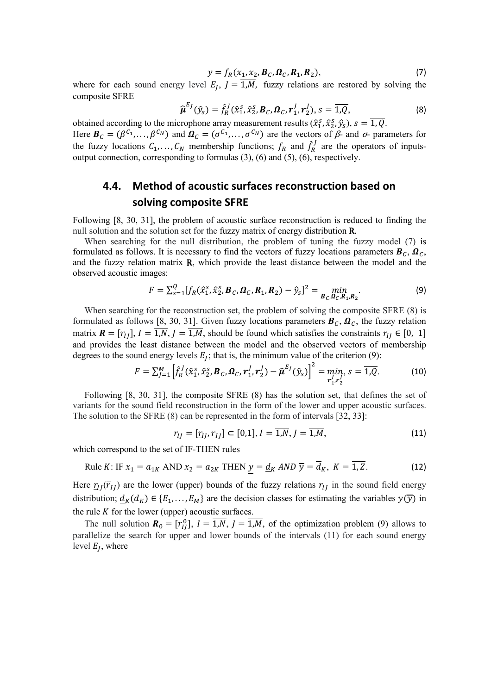$$
y = f_R(x_1, x_2, \boldsymbol{B}_C, \boldsymbol{\Omega}_C, \boldsymbol{R}_1, \boldsymbol{R}_2),
$$
\n(7)

where for each sound energy level  $E_J$ ,  $J = 1,M$ , fuzzy relations are restored by solving the composite SFRE

$$
\widehat{\boldsymbol{\mu}}^{E_J}(\widehat{\mathbf{y}}_s) = \widehat{f}_R^J(\widehat{\mathbf{x}}_1^s, \widehat{\mathbf{x}}_2^s, \boldsymbol{B}_C, \boldsymbol{\Omega}_C, \mathbf{r}_1^J, \mathbf{r}_2^J), s = \overline{1, Q},
$$
\n(8)

obtained according to the microphone array measurement results  $(\hat{x}_1^s, \hat{x}_2^s, \hat{y}_s)$ ,  $s = 1, Q$ . Here  $\mathbf{B}_c = (\beta^{c_1}, \ldots, \beta^{c_N})$  and  $\mathbf{\Omega}_c = (\sigma^{c_1}, \ldots, \sigma^{c_N})$  are the vectors of  $\beta$ - and  $\sigma$ - parameters for

the fuzzy locations  $C_1, \ldots, C_N$  membership functions;  $f_R$  and  $\hat{f}_R^J$  are the operators of inputsoutput connection, corresponding to formulas (3), (6) and (5), (6), respectively.

### **4.4. Method of acoustic surfaces reconstruction based on solving composite SFRE**

Following [8, 30, 31], the problem of acoustic surface reconstruction is reduced to finding the null solution and the solution set for the fuzzy matrix of energy distribution R.

When searching for the null distribution, the problem of tuning the fuzzy model (7) is formulated as follows. It is necessary to find the vectors of fuzzy locations parameters  $\mathbf{B}_c$ ,  $\mathbf{\Omega}_c$ , and the fuzzy relation matrix R, which provide the least distance between the model and the observed acoustic images:

$$
F = \sum_{s=1}^{Q} [f_R(\hat{x}_1^s, \hat{x}_2^s, \boldsymbol{B}_C, \boldsymbol{\Omega}_C, \boldsymbol{R}_1, \boldsymbol{R}_2) - \hat{y}_s]^2 = \min_{\boldsymbol{B}_C, \boldsymbol{\Omega}_C, \boldsymbol{R}_1, \boldsymbol{R}_2}.
$$
 (9)

When searching for the reconstruction set, the problem of solving the composite SFRE (8) is formulated as follows [8, 30, 31]. Given fuzzy locations parameters  $\mathbf{B}_c$ ,  $\mathbf{\Omega}_c$ , the fuzzy relation matrix  $\mathbf{R} = [r_{II}], I = \overline{1,N}, J = \overline{1,M}$ , should be found which satisfies the constraints  $r_{II} \in [0, 1]$ and provides the least distance between the model and the observed vectors of membership degrees to the sound energy levels  $E_I$ ; that is, the minimum value of the criterion (9):

$$
F = \sum_{j=1}^{M} \left[ \hat{f}_{R}^{j}(\hat{x}_{1}^{S}, \hat{x}_{2}^{S}, \boldsymbol{B}_{C}, \boldsymbol{\Omega}_{C}, \boldsymbol{r}_{1}^{J}, \boldsymbol{r}_{2}^{J}) - \hat{\boldsymbol{\mu}}^{E_{j}}(\hat{y}_{S}) \right]^{2} = \min_{\boldsymbol{r}_{1}^{J}, \boldsymbol{r}_{2}^{J}} s = \overline{1, Q}.
$$
 (10)

Following [8, 30, 31], the composite SFRE (8) has the solution set, that defines the set of variants for the sound field reconstruction in the form of the lower and upper acoustic surfaces. The solution to the SFRE (8) can be represented in the form of intervals [32, 33]:

$$
r_{IJ} = [\underline{r}_{IJ}, \overline{r}_{IJ}] \subset [0,1], I = \overline{1,N}, J = \overline{1,M},
$$
\n(11)

which correspond to the set of IF-THEN rules

Rule K: IF 
$$
x_1 = a_{1K}
$$
 AND  $x_2 = a_{2K}$  THEN  $\underline{y} = \underline{d}_K$  AND  $\overline{y} = \overline{d}_K$ ,  $K = \overline{1, Z}$ . (12)

Here  $\tau_{IJ}(\overline{r}_{IJ})$  are the lower (upper) bounds of the fuzzy relations  $r_{IJ}$  in the sound field energy distribution;  $\underline{d}_K(d_K) \in \{E_1, \ldots, E_M\}$  are the decision classes for estimating the variables  $y(\overline{y})$  in the rule  $K$  for the lower (upper) acoustic surfaces.

The null solution  $\mathbf{R}_0 = [r_{IJ}^0]$ ,  $I = 1, N$ ,  $J = 1, M$ , of the optimization problem (9) allows to parallelize the search for upper and lower bounds of the intervals (11) for each sound energy level  $E_I$ , where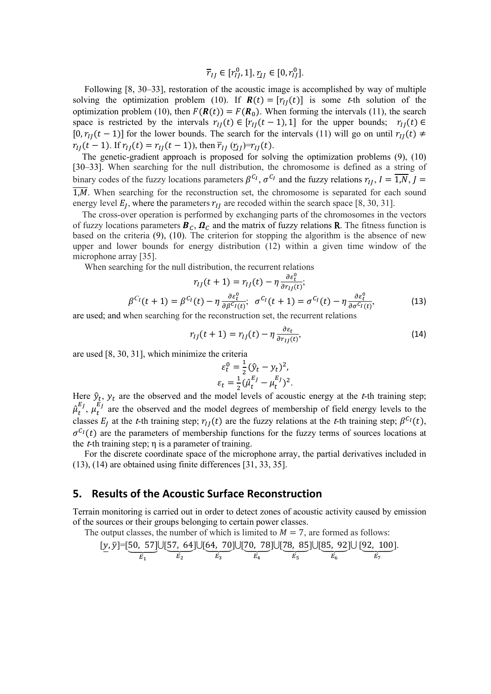$$
\overline{r}_{IJ}\in[r_{IJ}^0,1],\underline{r}_{IJ}\in[0,r_{IJ}^0].
$$

Following [8, 30–33], restoration of the acoustic image is accomplished by way of multiple solving the optimization problem (10). If  $R(t) = [r_{II}(t)]$  is some t-th solution of the optimization problem (10), then  $F(\mathbf{R}(t)) = F(\mathbf{R}_0)$ . When forming the intervals (11), the search space is restricted by the intervals  $r_{II}(t) \in [r_{II}(t-1), 1]$  for the upper bounds;  $r_{II}(t) \in$  $[0, r_{II}(t-1)]$  for the lower bounds. The search for the intervals (11) will go on until  $r_{II}(t) \neq$  $r_{II}(t-1)$ . If  $r_{II}(t) = r_{II}(t-1)$ , then  $\overline{r}_{II}(\underline{r}_{II}) = r_{II}(t)$ .

The genetic-gradient approach is proposed for solving the optimization problems (9), (10) [30–33]. When searching for the null distribution, the chromosome is defined as a string of binary codes of the fuzzy locations parameters  $\beta^{c_1}$ ,  $\sigma^{c_1}$  and the fuzzy relations  $r_{II}$ ,  $I = \overline{1,N}$ ,  $J = \overline{1/N}$  $1,M$ . When searching for the reconstruction set, the chromosome is separated for each sound energy level  $E_I$ , where the parameters  $r_{II}$  are recoded within the search space [8, 30, 31].

The cross-over operation is performed by exchanging parts of the chromosomes in the vectors of fuzzy locations parameters  $B_c$ ,  $\Omega_c$  and the matrix of fuzzy relations **R**. The fitness function is based on the criteria (9), (10). The criterion for stopping the algorithm is the absence of new upper and lower bounds for energy distribution (12) within a given time window of the microphone array [35].

When searching for the null distribution, the recurrent relations

$$
r_{IJ}(t+1) = r_{IJ}(t) - \eta \frac{\partial \varepsilon_t^0}{\partial r_{IJ}(t)};
$$
  

$$
\beta^{C_I}(t+1) = \beta^{C_I}(t) - \eta \frac{\partial \varepsilon_t^0}{\partial \beta^{C_I}(t)}; \quad \sigma^{C_I}(t+1) = \sigma^{C_I}(t) - \eta \frac{\partial \varepsilon_t^0}{\partial \sigma^{C_I}(t)},
$$
(13)

are used; and when searching for the reconstruction set, the recurrent relations

$$
r_{IJ}(t+1) = r_{IJ}(t) - \eta \frac{\partial \varepsilon_t}{\partial r_{IJ}(t)},
$$
\n(14)

are used [8, 30, 31], which minimize the criteria

$$
\varepsilon_t^0 = \frac{1}{2} (\hat{y}_t - y_t)^2,
$$
  
\n
$$
\varepsilon_t = \frac{1}{2} (\hat{\mu}_t^{E_J} - \mu_t^{E_J})^2.
$$

Here  $\hat{y}_t$ ,  $y_t$  are the observed and the model levels of acoustic energy at the *t*-th training step;  $\mu_{t}$  $\mu_t^{E_j}$ ,  $\mu_t^{E_j}$  are the observed and the model degrees of membership of field energy levels to the classes  $E_I$  at the t-th training step;  $r_{II}(t)$  are the fuzzy relations at the t-th training step;  $\beta^{C_I}(t)$ ,  $\sigma^{C_I}(t)$  are the parameters of membership functions for the fuzzy terms of sources locations at the *t*-th training step;  $\eta$  is a parameter of training.

For the discrete coordinate space of the microphone array, the partial derivatives included in (13), (14) are obtained using finite differences [31, 33, 35].

### **5. Results of the Acoustic Surface Reconstruction**

Terrain monitoring is carried out in order to detect zones of acoustic activity caused by emission of the sources or their groups belonging to certain power classes.

The output classes, the number of which is limited to 
$$
M = 7
$$
, are formed as follows:\n $[y, \bar{y}] = [50, 57] \cup [57, 64] \cup [64, 70] \cup [70, 78] \cup [78, 85] \cup [85, 92] \cup [92, 100].$ \n $\overline{E_1}$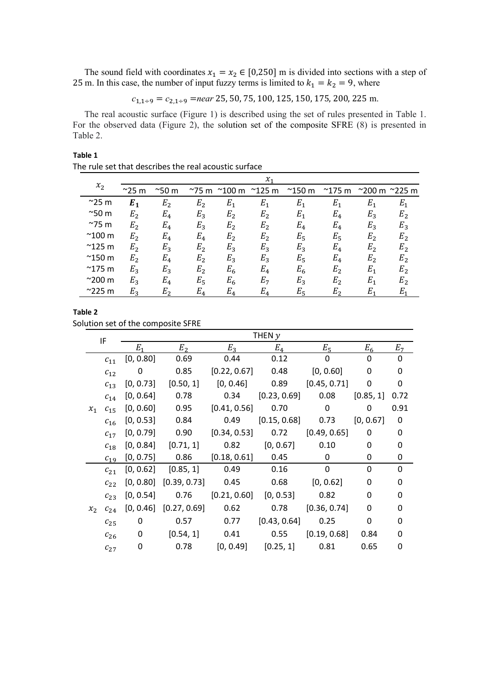The sound field with coordinates  $x_1 = x_2 \in [0,250]$  m is divided into sections with a step of 25 m. In this case, the number of input fuzzy terms is limited to  $k_1 = k_2 = 9$ , where

$$
c_{1,1+9} = c_{2,1+9} = near\ 25, 50, 75, 100, 125, 150, 175, 200, 225 \text{ m}.
$$

The real acoustic surface (Figure 1) is described using the set of rules presented in Table 1. For the observed data (Figure 2), the solution set of the composite SFRE (8) is presented in Table 2.

| Table 1                                               |  |
|-------------------------------------------------------|--|
| The rule set that describes the real acoustic surface |  |

|  |                 |                |                |                |                                | $\mathcal{X}_1$ |                 |                 |                           |                |
|--|-----------------|----------------|----------------|----------------|--------------------------------|-----------------|-----------------|-----------------|---------------------------|----------------|
|  | $x_2$           | $^{\sim}$ 25 m | $^{\sim}$ 50 m |                | $^{\sim}$ 75 m $^{\sim}$ 100 m | $^{\sim}$ 125 m | $^{\sim}$ 150 m | $^{\sim}$ 175 m | <sup>2</sup> 200 m 2225 m |                |
|  | $^{\sim}$ 25 m  | $E_1$          | E <sub>2</sub> | E <sub>2</sub> | $E_1$                          | $E_1$           | $E_{1}$         | $E_1$           | $E_1$                     | $E_1$          |
|  | $^{\sim}$ 50 m  | E <sub>2</sub> | $E_4$          | $E_3$          | E <sub>2</sub>                 | E <sub>2</sub>  | $E_1$           | $E_4$           | $E_3$                     | E <sub>2</sub> |
|  | $^{\sim}$ 75 m  | E <sub>2</sub> | $E_4$          | $E_3$          | E <sub>2</sub>                 | E <sub>2</sub>  | $E_4$           | $E_4$           | $E_3$                     | $E_3$          |
|  | $^{\sim}$ 100 m | $E_{2}$        | $E_4$          | $E_4$          | E <sub>2</sub>                 | E <sub>2</sub>  | $E_5$           | $E_5$           | $E_2$                     | E <sub>2</sub> |
|  | $^{\sim}$ 125 m | $E_{2}$        | $E_3$          | E <sub>2</sub> | $E_3$                          | $E_3$           | $E_3$           | $E_4$           | E <sub>2</sub>            | E <sub>2</sub> |
|  | $^{\sim}$ 150 m | E <sub>2</sub> | $E_4$          | E <sub>2</sub> | $E_3$                          | $E_3$           | $E_5$           | $E_4$           | E <sub>2</sub>            | E <sub>2</sub> |
|  | $^{\sim}$ 175 m | $E_3$          | $E_3$          | E <sub>2</sub> | $E_6$                          | $E_4$           | $E_6$           | E <sub>2</sub>  | $E_1$                     | E <sub>2</sub> |
|  | $^{\sim}$ 200 m | $E_3$          | $E_4$          | $E_5$          | $E_6$                          | E <sub>7</sub>  | $E_3$           | $E_2$           | $E_1$                     | E <sub>2</sub> |
|  | $^{\sim}$ 225 m | $E_{2}$        | $E_{2}$        | $E_4$          | $E_4$                          | $E_4$           | $E_5$           | $E_{2}$         | $E_{1}$                   | $E_1$          |
|  |                 |                |                |                |                                |                 |                 |                 |                           |                |

|  | "<br>I<br>۰. |  |
|--|--------------|--|
|--|--------------|--|

Solution set of the composite SFRE

|               |          |                |                |                                                                                                                                                                                                                                                                                                                                                                                         | THEN $y$     |              |           |                |
|---------------|----------|----------------|----------------|-----------------------------------------------------------------------------------------------------------------------------------------------------------------------------------------------------------------------------------------------------------------------------------------------------------------------------------------------------------------------------------------|--------------|--------------|-----------|----------------|
|               |          | E <sub>1</sub> | E <sub>2</sub> | $E_3$                                                                                                                                                                                                                                                                                                                                                                                   | $E_4$        | $E_5$        | $E_6$     | E <sub>7</sub> |
|               | $c_{11}$ | [0, 0.80]      | 0.69           | 0.44                                                                                                                                                                                                                                                                                                                                                                                    | 0.12         | 0            | $\Omega$  | 0              |
|               | $c_{12}$ | 0              | 0.85           | [0.22, 0.67]                                                                                                                                                                                                                                                                                                                                                                            | 0.48         | [0, 0.60]    | 0         | 0              |
|               | $c_{13}$ | [0, 0.73]      | [0.50, 1]      | [0, 0.46]                                                                                                                                                                                                                                                                                                                                                                               | 0.89         | [0.45, 0.71] | 0         | 0              |
|               | $c_{14}$ | [0, 0.64]      | 0.78           | 0.34                                                                                                                                                                                                                                                                                                                                                                                    | [0.23, 0.69] | 0.08         | [0.85, 1] | 0.72           |
| $x_1$         | $c_{15}$ | [0, 0.60]      | 0.95           | [0.41, 0.56]                                                                                                                                                                                                                                                                                                                                                                            | 0.70         | 0            | 0         | 0.91           |
|               | $c_{16}$ | [0, 0.53]      | 0.84           | 0.49                                                                                                                                                                                                                                                                                                                                                                                    |              | 0.73         | [0, 0.67] | 0              |
|               | $c_{17}$ | [0, 0.79]      | 0.90           | [0.34, 0.53]                                                                                                                                                                                                                                                                                                                                                                            | 0.72         | [0.49, 0.65] | 0         | 0              |
| IF<br>$x_{2}$ | $c_{18}$ | [0, 0.84]      | [0.71, 1]      | 0.82                                                                                                                                                                                                                                                                                                                                                                                    | [0, 0.67]    | 0.10         | 0         | 0              |
|               | $c_{19}$ | [0, 0.75]      | 0.86           | [0.15, 0.68]<br>[0.18, 0.61]<br>0.45<br>0<br>0<br>0<br>0<br>$\Omega$<br>0<br>0.16<br>0.49<br>0.68<br>0.45<br>[0, 0.62]<br>0<br>0<br>[0.21, 0.60]<br>[0, 0.53]<br>0.76<br>0.82<br>0<br>O<br>0.62<br>[0.36, 0.74]<br>0<br>0.78<br>0<br>[0.43, 0.64]<br>0.77<br>0.25<br>0.57<br>0<br>0<br>0.41<br>0.55<br>[0.19, 0.68]<br>0.84<br>0<br>[0, 0.49]<br>[0.25, 1]<br>0.78<br>0.81<br>0.65<br>0 |              |              |           |                |
|               | $c_{21}$ | [0, 0.62]      | [0.85, 1]      |                                                                                                                                                                                                                                                                                                                                                                                         |              |              |           |                |
|               | $c_{22}$ | [0, 0.80]      | [0.39, 0.73]   |                                                                                                                                                                                                                                                                                                                                                                                         |              |              |           |                |
|               | $c_{23}$ | [0, 0.54]      |                |                                                                                                                                                                                                                                                                                                                                                                                         |              |              |           |                |
|               | $c_{24}$ | [0, 0.46]      | [0.27, 0.69]   |                                                                                                                                                                                                                                                                                                                                                                                         |              |              |           |                |
|               | $c_{25}$ | 0              |                |                                                                                                                                                                                                                                                                                                                                                                                         |              |              |           |                |
|               | $c_{26}$ | 0              | [0.54, 1]      |                                                                                                                                                                                                                                                                                                                                                                                         |              |              |           |                |
|               | $c_{27}$ | 0              |                |                                                                                                                                                                                                                                                                                                                                                                                         |              |              |           |                |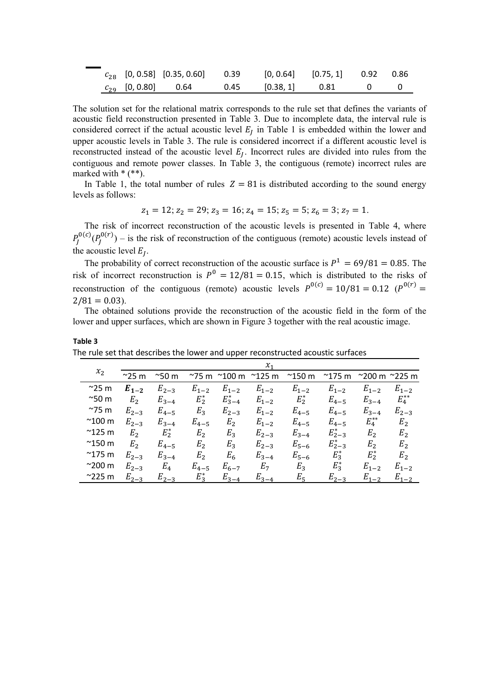|  | $c_{28}$ [0, 0.58] [0.35, 0.60] 0.39 [0, 0.64] [0.75, 1] 0.92 0.86 |                     |  |  |
|--|--------------------------------------------------------------------|---------------------|--|--|
|  | $c_{29}$ [0, 0.80] 0.64                                            | 0.45 [0.38, 1] 0.81 |  |  |

The solution set for the relational matrix corresponds to the rule set that defines the variants of acoustic field reconstruction presented in Table 3. Due to incomplete data, the interval rule is considered correct if the actual acoustic level  $E_I$  in Table 1 is embedded within the lower and upper acoustic levels in Table 3. The rule is considered incorrect if a different acoustic level is reconstructed instead of the acoustic level  $E_I$ . Incorrect rules are divided into rules from the contiguous and remote power classes. In Table 3, the contiguous (remote) incorrect rules are marked with  $*(**)$ .

In Table 1, the total number of rules  $Z = 81$  is distributed according to the sound energy levels as follows:

$$
z_1 = 12; z_2 = 29; z_3 = 16; z_4 = 15; z_5 = 5; z_6 = 3; z_7 = 1.
$$

The risk of incorrect reconstruction of the acoustic levels is presented in Table 4, where  $P_J^{\text{O}(C)}(P_J^{\text{O}(T)})$  – is the risk of reconstruction of the contiguous (remote) acoustic levels instead of the acoustic level  $E_I$ .

The probability of correct reconstruction of the acoustic surface is  $P^1 = 69/81 = 0.85$ . The risk of incorrect reconstruction is  $P^0 = 12/81 = 0.15$ , which is distributed to the risks of reconstruction of the contiguous (remote) acoustic levels  $P^{0(c)} = 10/81 = 0.12$  ( $P^{0(r)} =$  $2/81 = 0.03$ .

The obtained solutions provide the reconstruction of the acoustic field in the form of the lower and upper surfaces, which are shown in Figure 3 together with the real acoustic image.

|                 | $\chi_{\scriptscriptstyle 1}$ |                |                |                 |                 |                 |                 |                                 |                |
|-----------------|-------------------------------|----------------|----------------|-----------------|-----------------|-----------------|-----------------|---------------------------------|----------------|
| $x_2$           | $^{\sim}$ 25 m                | $^{\sim}$ 50 m | $^{\sim}$ 75 m | $^{\sim}$ 100 m | $^{\sim}$ 125 m | $^{\sim}$ 150 m | $^{\sim}$ 175 m | $^{\sim}$ 200 m $^{\sim}$ 225 m |                |
| $^{\sim}$ 25 m  | $E_{1-2}$                     | $E_{2-3}$      | $E_{1-2}$      | $E_{1-2}$       | $E_{1-2}$       | $E_{1-2}$       | $E_{1-2}$       | $E_{1-2}$                       | $E_{1-2}$      |
| $^{\sim}$ 50 m  | E <sub>2</sub>                | $E_{3-4}$      | $E_2^*$        | $E_{3-4}^*$     | $E_{1-2}$       | $E_2^*$         | $E_{4-5}$       | $E_{3-4}$                       | $E_4^{**}$     |
| $^{\sim}$ 75 m  | $E_{2-3}$                     | $E_{4-5}$      | $E_3$          | $E_{2-3}$       | $E_{1-2}$       | $E_{4-5}$       | $E_{4-5}$       | $E_{3-4}$                       | $E_{2-3}$      |
| $^{\sim}$ 100 m | $E_{2-3}$                     | $E_{3-4}$      | $E_{4-5}$      | E <sub>2</sub>  | $E_{1-2}$       | $E_{4-5}$       | $E_{4-5}$       | $E_{4}^{**}$                    | E <sub>2</sub> |
| $^{\sim}$ 125 m | E <sub>2</sub>                | $E_2^*$        | E <sub>2</sub> | $E_3$           | $E_{2-3}$       | $E_{3-4}$       | $E_{2-3}^*$     | E <sub>2</sub>                  | E <sub>2</sub> |
| $^{\sim}$ 150 m | E <sub>2</sub>                | $E_{4-5}$      | E <sub>2</sub> | $E_3$           | $E_{2-3}$       | $E_{5-6}$       | $E_{2-3}^*$     | E <sub>2</sub>                  | E <sub>2</sub> |
| $^{\sim}$ 175 m | $E_{2-3}$                     | $E_{3-4}$      | E <sub>2</sub> | $E_6$           | $E_{3-4}$       | $E_{5-6}$       | $E_3^*$         | $E_2^*$                         | E <sub>2</sub> |
| $^{\sim}$ 200 m | $E_{2-3}$                     | $E_4$          | $E_{4-5}$      | $E_{6-7}$       | $E_7$           | $E_3$           | $E_3^*$         | $E_{1-2}$                       | $E_{1-2}$      |
| $^{\sim}$ 225 m | $E_{2-3}$                     | $E_{2-3}$      | $E_3^*$        | $E_{3-4}$       | $E_{3-4}$       | $E_5$           | $E_{2-3}$       | $E_{1-2}$                       | $E_{1-2}$      |

**Table 3** The rule set that describes the lower and upper reconstructed acoustic surfaces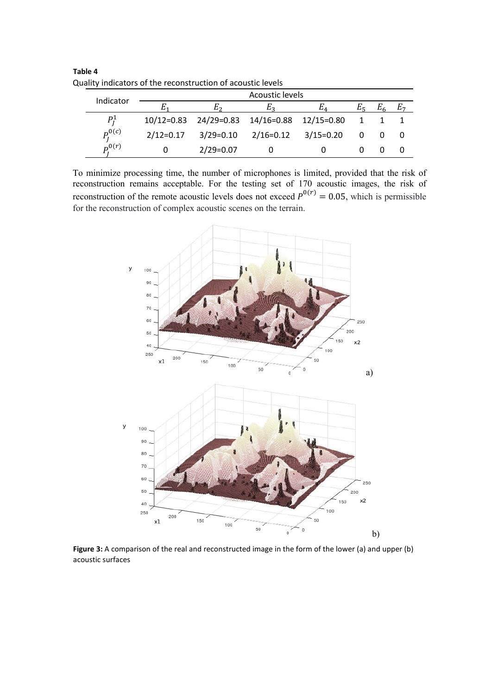|  | luality indicators of the reconstruction or acoustic levels |                        |             |             |              |                |     |  |  |  |  |
|--|-------------------------------------------------------------|------------------------|-------------|-------------|--------------|----------------|-----|--|--|--|--|
|  | Indicator                                                   | <b>Acoustic levels</b> |             |             |              |                |     |  |  |  |  |
|  | Е.                                                          |                        | E2          | Eπ.         | $E_{\rm E}$  | $E_{\epsilon}$ | E-7 |  |  |  |  |
|  | $P_I^1$                                                     | $10/12 = 0.83$         | 24/29=0.83  | 14/16=0.88  | $12/15=0.80$ |                |     |  |  |  |  |
|  | $P_t^{0(c)}$                                                | $2/12=0.17$            | $3/29=0.10$ | $2/16=0.12$ | $3/15=0.20$  |                |     |  |  |  |  |
|  | $p^{0(r)}$                                                  |                        | $2/29=0.07$ |             |              |                |     |  |  |  |  |

**Table 4** Quality indicators of the reconstruction of acoustic levels

To minimize processing time, the number of microphones is limited, provided that the risk of reconstruction remains acceptable. For the testing set of 170 acoustic images, the risk of reconstruction of the remote acoustic levels does not exceed  $P^{0(r)} = 0.05$ , which is permissible for the reconstruction of complex acoustic scenes on the terrain.



**Figure 3:** A comparison of the real and reconstructed image in the form of the lower (a) and upper (b) acoustic surfaces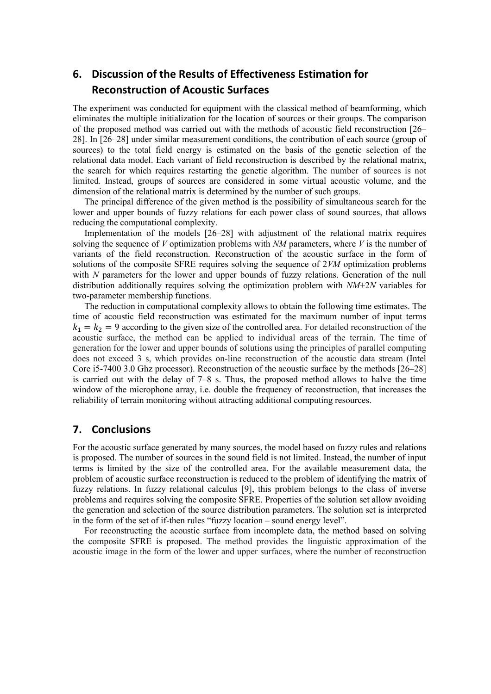## **6. Discussion of the Results of Effectiveness Estimation for Reconstruction of Acoustic Surfaces**

The experiment was conducted for equipment with the classical method of beamforming, which eliminates the multiple initialization for the location of sources or their groups. The comparison of the proposed method was carried out with the methods of acoustic field reconstruction [26– 28]. In [26–28] under similar measurement conditions, the contribution of each source (group of sources) to the total field energy is estimated on the basis of the genetic selection of the relational data model. Each variant of field reconstruction is described by the relational matrix, the search for which requires restarting the genetic algorithm. The number of sources is not limited. Instead, groups of sources are considered in some virtual acoustic volume, and the dimension of the relational matrix is determined by the number of such groups.

The principal difference of the given method is the possibility of simultaneous search for the lower and upper bounds of fuzzy relations for each power class of sound sources, that allows reducing the computational complexity.

Implementation of the models [26–28] with adjustment of the relational matrix requires solving the sequence of *V* optimization problems with *NM* parameters, where *V* is the number of variants of the field reconstruction. Reconstruction of the acoustic surface in the form of solutions of the composite SFRE requires solving the sequence of 2*VM* optimization problems with *N* parameters for the lower and upper bounds of fuzzy relations. Generation of the null distribution additionally requires solving the optimization problem with *NM*+2*N* variables for two-parameter membership functions.

The reduction in computational complexity allows to obtain the following time estimates. The time of acoustic field reconstruction was estimated for the maximum number of input terms  $k_1 = k_2 = 9$  according to the given size of the controlled area. For detailed reconstruction of the acoustic surface, the method can be applied to individual areas of the terrain. The time of generation for the lower and upper bounds of solutions using the principles of parallel computing does not exceed 3 s, which provides on-line reconstruction of the acoustic data stream (Intel Core i5-7400 3.0 Ghz processor). Reconstruction of the acoustic surface by the methods [26–28] is carried out with the delay of 7–8 s. Thus, the proposed method allows to halve the time window of the microphone array, i.e. double the frequency of reconstruction, that increases the reliability of terrain monitoring without attracting additional computing resources.

### **7. Conclusions**

For the acoustic surface generated by many sources, the model based on fuzzy rules and relations is proposed. The number of sources in the sound field is not limited. Instead, the number of input terms is limited by the size of the controlled area. For the available measurement data, the problem of acoustic surface reconstruction is reduced to the problem of identifying the matrix of fuzzy relations. In fuzzy relational calculus [9], this problem belongs to the class of inverse problems and requires solving the composite SFRE. Properties of the solution set allow avoiding the generation and selection of the source distribution parameters. The solution set is interpreted in the form of the set of if-then rules "fuzzy location – sound energy level".

For reconstructing the acoustic surface from incomplete data, the method based on solving the composite SFRE is proposed. The method provides the linguistic approximation of the acoustic image in the form of the lower and upper surfaces, where the number of reconstruction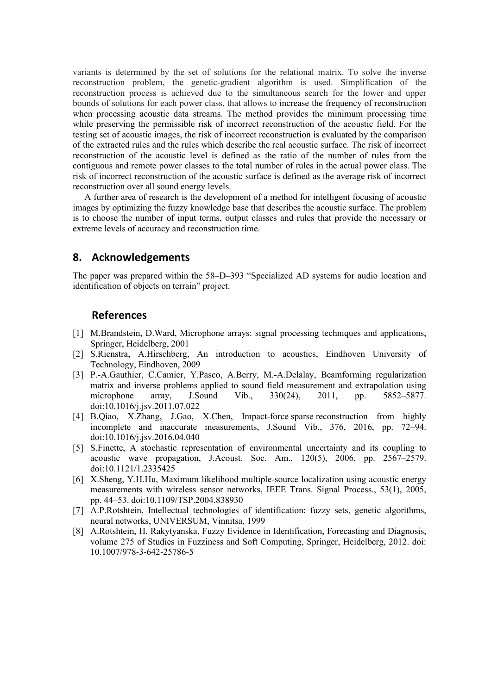variants is determined by the set of solutions for the relational matrix. To solve the inverse reconstruction problem, the genetic-gradient algorithm is used. Simplification of the reconstruction process is achieved due to the simultaneous search for the lower and upper bounds of solutions for each power class, that allows to increase the frequency of reconstruction when processing acoustic data streams. The method provides the minimum processing time while preserving the permissible risk of incorrect reconstruction of the acoustic field. For the testing set of acoustic images, the risk of incorrect reconstruction is evaluated by the comparison of the extracted rules and the rules which describe the real acoustic surface. The risk of incorrect reconstruction of the acoustic level is defined as the ratio of the number of rules from the contiguous and remote power classes to the total number of rules in the actual power class. The risk of incorrect reconstruction of the acoustic surface is defined as the average risk of incorrect reconstruction over all sound energy levels.

A further area of research is the development of a method for intelligent focusing of acoustic images by optimizing the fuzzy knowledge base that describes the acoustic surface. The problem is to choose the number of input terms, output classes and rules that provide the necessary or extreme levels of accuracy and reconstruction time.

### **8. Acknowledgements**

The paper was prepared within the 58–D–393 "Specialized AD systems for audio location and identification of objects on terrain" project.

### **References**

- [1] M[.Brandstein,](https://www.amazon.com/s/ref=dp_byline_sr_book_1?ie=UTF8&text=Michael+Brandstein&search-alias=books&field-author=Michael+Brandstein&sort=relevancerank) D[.Ward,](https://www.amazon.com/s/ref=dp_byline_sr_book_2?ie=UTF8&text=Darren+Ward&search-alias=books&field-author=Darren+Ward&sort=relevancerank) Microphone arrays: signal processing techniques and applications, Springer, Heidelberg, 2001
- [2] S.Rienstra, A.Hirschberg, An introduction to acoustics, Eindhoven University of Technology, Eindhoven, 2009
- [3] P.-A.Gauthier, C.Camier, Y.Pasco, A.Berry, M.-A.Delalay, Beamforming regularization matrix and inverse problems applied to sound field measurement and extrapolation using microphone array, [J.Sound Vib.,](https://www.sciencedirect.com/science/journal/0022460X) 330(24), 2011, pp. 5852–5877. [doi:10.1016/j.jsv.2011.07.022](https://doi.org/10.1016/j.jsv.2011.07.022)
- [4] B.Qiao, X.Zhang, J.Gao, X.Chen, Impact-force sparse [reconstruction from highly](https://www.sciencedirect.com/science/article/pii/S0022460X16300955)  [incomplete and inaccurate measurements,](https://www.sciencedirect.com/science/article/pii/S0022460X16300955) [J.Sound Vib.,](https://www.sciencedirect.com/science/journal/0022460X) 376, 2016, pp. 72–94. [doi:10.1016/j.jsv.2016.04.040](https://doi.org/10.1016/j.jsv.2016.04.040)
- [5] S.Finette, A stochastic representation of environmental uncertainty and its coupling to acoustic wave propagation, [J.Acoust. Soc. Am., 1](https://asa.scitation.org/journal/jas)20(5), 2006, pp. 2567–2579. [doi:10.1121/1.2335425](https://doi.org/10.1121/1.2335425)
- [6] X.Sheng, Y.H.Hu, Maximum likelihood multiple-source localization using acoustic energy measurements with wireless sensor networks, IEEE Trans. Signal Process., 53(1), 2005, pp. 44–53. doi:10.1109/TSP.2004.838930
- [7] A.P.Rotshtein, Intellectual technologies of identification: fuzzy sets, genetic algorithms, neural networks, UNIVERSUM, Vinnitsa, 1999
- [8] A.Rotshtein, H. Rakytyanska, Fuzzy Evidence in Identification, Forecasting and Diagnosis, volume 275 of Studies in Fuzziness and Soft Computing, Springer, Heidelberg, 2012. doi: 10.1007/978-3-642-25786-5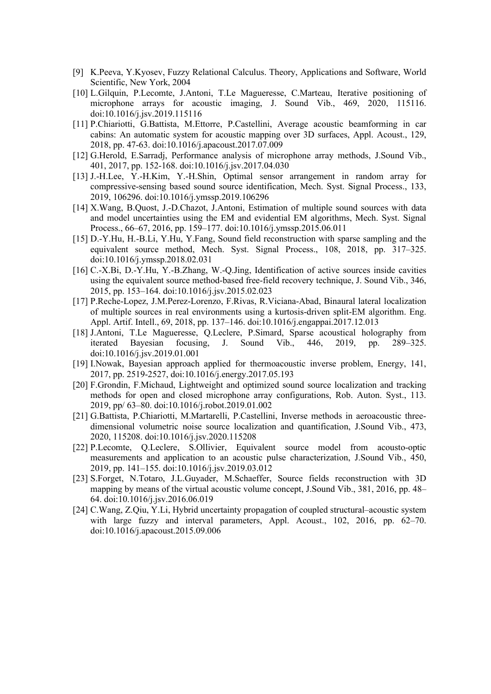- [9] K.Peeva, Y.Kyosev, Fuzzy Relational Calculus. Theory, Applications and Software, World Scientific, New York, 2004
- [10] L.Gilquin, P.Lecomte, J.Antoni, T.Le Magueresse, C.Marteau, Iterative positioning of microphone arrays for acoustic imaging, J. Sound Vib., 469, 2020, 115116. [doi:10.1016/j.jsv.2019.115116](https://doi.org/10.1016/j.jsv.2019.115116)
- [11] P.Chiariotti, G.Battista, M.Ettorre, P.Castellini, [Average acoustic beamforming in car](https://www.sciencedirect.com/science/article/pii/S0003682X17306618)  [cabins: An automatic system for acoustic mapping over 3D surfaces,](https://www.sciencedirect.com/science/article/pii/S0003682X17306618) [Appl. Acoust.](https://www.sciencedirect.com/science/journal/0003682X), [129,](https://www.sciencedirect.com/science/journal/0003682X/129/supp/C) 2018, pp. 47-63. doi[:10.1016/j.apacoust.2017.07.009](https://doi.org/10.1016/j.apacoust.2017.07.009)
- [12] G.Herold, E.Sarradj, Performance analysis [of microphone array methods,](https://www.sciencedirect.com/science/article/pii/S0022460X17303589) [J.Sound Vib.,](https://www.sciencedirect.com/science/journal/0022460X) 401, 2017, pp. 152-168. doi[:10.1016/j.jsv.2017.04.030](https://doi.org/10.1016/j.jsv.2017.04.030)
- [13] J.-H.Lee, Y.-H.Kim, Y.-H.Shin, Optimal sensor arrangement in random array for compressive-sensing based sound source identification, Mech. Syst. Signal Process., 133, 2019, 106296. doi[:10.1016/j.ymssp.2019.106296](https://ui.adsabs.harvard.edu/link_gateway/2019MSSP..13306296L/doi:10.1016/j.ymssp.2019.106296)
- [14] X.Wang, B.Quost, J.-D.Chazot, J.Antoni, Estimation of multiple sound sources with data and model uncertainties using the EM and evidential EM algorithms, Mech. Syst. Signal Process., 66–67, 2016, pp. 159–177. [doi:10.1016/j.ymssp.2015.06.011](https://doi.org/10.1016/j.ymssp.2015.06.011)
- [15] D.-Y.Hu, H.-B.Li, Y.Hu, Y.Fang, Sound field reconstruction with sparse sampling and the equivalent source method, Mech. Syst. Signal Process., 108, 2018, pp. 317–325. doi[:10.1016/j.ymssp.2018.02.031](https://ui.adsabs.harvard.edu/link_gateway/2018MSSP..108..317H/doi:10.1016/j.ymssp.2018.02.031)
- [16] C.-X.Bi, D.-Y.Hu, Y.-B.Zhang, W.-Q.Jing, [Identification of active sources inside cavities](https://www.sciencedirect.com/science/article/pii/S0022460X15001571)  [using the equivalent source method-based free-field recovery technique,](https://www.sciencedirect.com/science/article/pii/S0022460X15001571) [J. Sound Vib.,](https://www.sciencedirect.com/science/journal/0022460X) [346,](https://www.sciencedirect.com/science/journal/0022460X/346/supp/C) 2015, pp. 153–164. doi:10.1016/j.jsv.2015.02.023
- [17] P.Reche-Lopez, J.M.Perez-Lorenzo, F.Rivas, R.Viciana-Abad, [Binaural lateral localization](https://www.sciencedirect.com/science/article/pii/S0952197617303160)  [of multiple sources in real environments using a kurtosis-driven split-EM algorithm.](https://www.sciencedirect.com/science/article/pii/S0952197617303160) [Eng.](https://www.sciencedirect.com/science/journal/09521976)  [Appl. Artif. Intell.,](https://www.sciencedirect.com/science/journal/09521976) 69, 2018, pp. 137–146. [doi:10.1016/j.engappai.2017.12.013](https://doi.org/10.1016/j.engappai.2017.12.013)
- [18] J.Antoni, T.Le Magueresse, Q.Leclere, P.Simard, Sparse acoustical holography from iterated Bayesian focusing, J. Sound Vib., 446, 2019, pp. 289–325. iterated Bayesian focusing, J. Sound Vib., 446, 2019, pp. 289–325. doi[:10.1016/j.jsv.2019.01.001](https://ui.adsabs.harvard.edu/link_gateway/2019JSV...446..289A/doi:10.1016/j.jsv.2019.01.001)
- [19] I.Nowak, [Bayesian approach applied for thermoacoustic inverse problem,](https://www.sciencedirect.com/science/article/pii/S0360544217309908) [Energy,](https://www.sciencedirect.com/science/journal/03605442) [141,](https://www.sciencedirect.com/science/journal/03605442/141/supp/C) 2017, pp. 2519-2527[, doi:10.1016/j.energy.2017.05.193](https://doi.org/10.1016/j.energy.2017.05.193)
- [20] F.Grondin, F.Michaud, Lightweight and optimized sound source localization and tracking methods for open and closed microphone array configurations, Rob. Auton. Syst., 113. 2019, pp/ 63–80. doi[:10.1016/j.robot.2019.01.002](https://www.researchgate.net/deref/http%3A%2F%2Fdx.doi.org%2F10.1016%2Fj.robot.2019.01.002)
- [21] G.Battista, P.Chiariotti, M.Martarelli, P.Castellini, Inverse methods in aeroacoustic threedimensional volumetric noise source localization and quantification, J.Sound Vib., 473, 2020, 115208. [doi:10.1016/j.jsv.2020.115208](https://doi.org/10.1016/j.jsv.2020.115208)
- [22] P.Lecomte, Q.Leclere, S.Ollivier, [Equivalent source model from acousto-optic](https://www.sciencedirect.com/science/article/pii/S0022460X19301725)  [measurements and application to an acoustic pulse characterization,](https://www.sciencedirect.com/science/article/pii/S0022460X19301725) [J.Sound Vib.,](https://www.sciencedirect.com/science/journal/0022460X) 450, 2019, pp. 141–155. doi[:10.1016/j.jsv.2019.03.012](https://ui.adsabs.harvard.edu/link_gateway/2019JSV...450..141L/doi:10.1016/j.jsv.2019.03.012)
- [23] S.Forget, N.Totaro, J.L.Guyader, M.Schaeffer, Source fields reconstruction with 3D mapping by means of the virtual acoustic volume concept, J.Sound Vib., 381, 2016, pp. 48– 64. doi:10.1016/j.jsv.2016.06.019
- [24] C.Wang, Z.Qiu, Y.Li, Hybrid uncertainty propagation [of coupled structural–acoustic system](https://www.sciencedirect.com/science/article/pii/S0003682X15002509)  with [large fuzzy and interval parameters,](https://www.sciencedirect.com/science/article/pii/S0003682X15002509) [Appl. Acoust.,](https://www.sciencedirect.com/science/journal/0003682X) 102, 2016, pp. 62–70. doi:10.1016/j.apacoust.2015.09.006